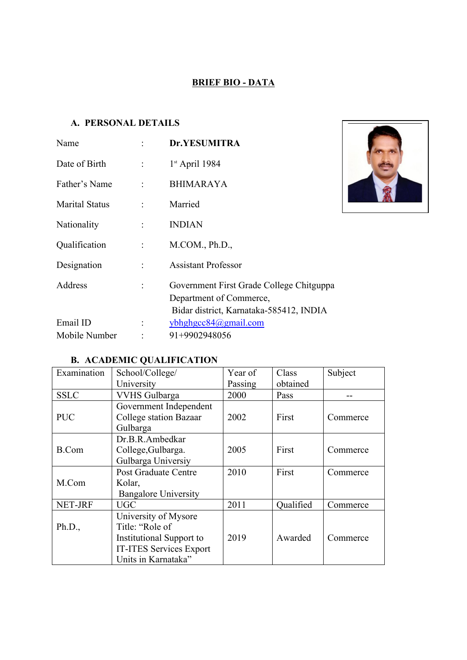#### **BRIEF BIO - DATA**

#### **A. PERSONAL DETAILS**

| Name                  |                      | Dr.YESUMITRA                                                                                                   |  |
|-----------------------|----------------------|----------------------------------------------------------------------------------------------------------------|--|
| Date of Birth         | $\ddot{\phantom{a}}$ | $1st$ April 1984                                                                                               |  |
| Father's Name         | $\cdot$              | <b>BHIMARAYA</b>                                                                                               |  |
| <b>Marital Status</b> |                      | Married                                                                                                        |  |
| Nationality           | ÷                    | <b>INDIAN</b>                                                                                                  |  |
| Qualification         | $\ddot{\phantom{a}}$ | M. COM., Ph.D.,                                                                                                |  |
| Designation           | ÷                    | <b>Assistant Professor</b>                                                                                     |  |
| Address               | ÷                    | Government First Grade College Chitguppa<br>Department of Commerce,<br>Bidar district, Karnataka-585412, INDIA |  |
| Email ID              |                      | ybhghgcc84@gmail.com                                                                                           |  |
| Mobile Number         |                      | 91+9902948056                                                                                                  |  |

### **B. ACADEMIC QUALIFICATION**

| Examination  | School/College/             | Year of | Class     | Subject  |
|--------------|-----------------------------|---------|-----------|----------|
|              | University                  | Passing | obtained  |          |
| <b>SSLC</b>  | <b>VVHS Gulbarga</b>        | 2000    | Pass      | --       |
|              | Government Independent      |         |           |          |
| <b>PUC</b>   | College station Bazaar      | 2002    | First     | Commerce |
|              | Gulbarga                    |         |           |          |
|              | Dr.B.R.Ambedkar             |         |           |          |
| <b>B.Com</b> | College, Gulbarga.          | 2005    | First     | Commerce |
|              | Gulbarga Universiy          |         |           |          |
|              | <b>Post Graduate Centre</b> | 2010    | First     | Commerce |
| M.Com        | Kolar,                      |         |           |          |
|              | <b>Bangalore University</b> |         |           |          |
| NET-JRF      | <b>UGC</b>                  | 2011    | Qualified | Commerce |
|              | University of Mysore        |         |           |          |
| Ph.D.,       | Title: "Role of             |         |           |          |
|              | Institutional Support to    | 2019    | Awarded   | Commerce |
|              | IT-ITES Services Export     |         |           |          |
|              | Units in Karnataka"         |         |           |          |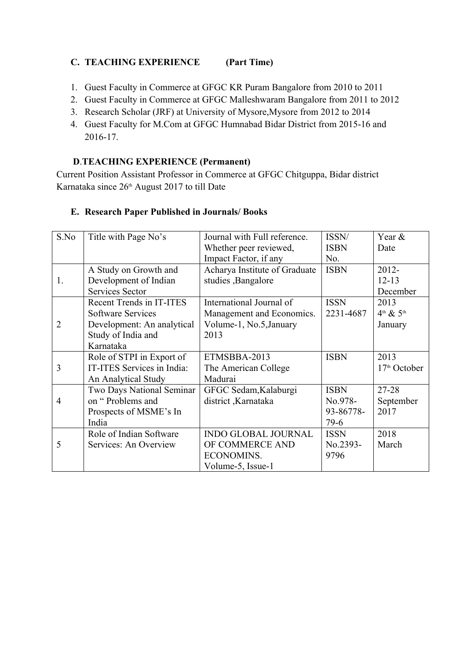#### **C. TEACHING EXPERIENCE (Part Time)**

- 1. Guest Faculty in Commerce at GFGC KR Puram Bangalore from 2010 to 2011
- 2. Guest Faculty in Commerce at GFGC Malleshwaram Bangalore from 2011 to 2012
- 3. Research Scholar (JRF) at University of Mysore,Mysore from 2012 to 2014
- 4. Guest Faculty for M.Com at GFGC Humnabad Bidar District from 2015-16 and 2016-17.

#### **D**.**TEACHING EXPERIENCE (Permanent)**

Current Position Assistant Professor in Commerce at GFGC Chitguppa, Bidar district Karnataka since 26<sup>th</sup> August 2017 to till Date

# **E. Research Paper Published in Journals/ Books**

| S.No           | Title with Page No's       | Journal with Full reference.  | ISSN/       | Year &                   |
|----------------|----------------------------|-------------------------------|-------------|--------------------------|
|                |                            | Whether peer reviewed,        | <b>ISBN</b> | Date                     |
|                |                            | Impact Factor, if any         | No.         |                          |
|                | A Study on Growth and      | Acharya Institute of Graduate | <b>ISBN</b> | $2012 -$                 |
| 1.             | Development of Indian      | studies , Bangalore           |             | $12 - 13$                |
|                | Services Sector            |                               |             | December                 |
|                | Recent Trends in IT-ITES   | International Journal of      | <b>ISSN</b> | 2013                     |
|                | Software Services          | Management and Economics.     | 2231-4687   | $4th$ & $5th$            |
| $\overline{2}$ | Development: An analytical | Volume-1, No.5, January       |             | January                  |
|                | Study of India and         | 2013                          |             |                          |
|                | Karnataka                  |                               |             |                          |
|                | Role of STPI in Export of  | ETMSBBA-2013                  | <b>ISBN</b> | 2013                     |
| 3              | IT-ITES Services in India: | The American College          |             | 17 <sup>th</sup> October |
|                | An Analytical Study        | Madurai                       |             |                          |
|                | Two Days National Seminar  | GFGC Sedam, Kalaburgi         | <b>ISBN</b> | 27-28                    |
| 4              | on "Problems and           | district, Karnataka           | No.978-     | September                |
|                | Prospects of MSME's In     |                               | 93-86778-   | 2017                     |
|                | India                      |                               | $79-6$      |                          |
|                | Role of Indian Software    | <b>INDO GLOBAL JOURNAL</b>    | <b>ISSN</b> | 2018                     |
| 5              | Services: An Overview      | OF COMMERCE AND               | No.2393-    | March                    |
|                |                            | ECONOMINS.                    | 9796        |                          |
|                |                            | Volume-5, Issue-1             |             |                          |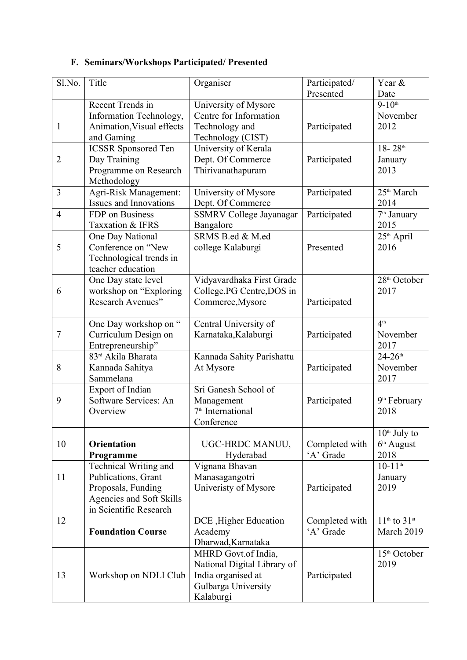## **F. Seminars/Workshops Participated/ Presented**

| Sl.No.         | Title                                  | Organiser                              | Participated/  | Year &                         |
|----------------|----------------------------------------|----------------------------------------|----------------|--------------------------------|
|                | Recent Trends in                       |                                        | Presented      | Date<br>$9 - 10$ <sup>th</sup> |
|                |                                        | University of Mysore                   |                |                                |
|                | Information Technology,                | Centre for Information                 |                | November                       |
| $\mathbf{1}$   | Animation, Visual effects              | Technology and                         | Participated   | 2012                           |
|                | and Gaming                             | Technology (CIST)                      |                | $18 - 28$ <sup>th</sup>        |
|                | <b>ICSSR</b> Sponsored Ten             | University of Kerala                   |                |                                |
| 2              | Day Training                           | Dept. Of Commerce<br>Thirivanathapuram | Participated   | January<br>2013                |
|                | Programme on Research<br>Methodology   |                                        |                |                                |
| 3              | Agri-Risk Management:                  | University of Mysore                   | Participated   | 25 <sup>th</sup> March         |
|                | <b>Issues and Innovations</b>          | Dept. Of Commerce                      |                | 2014                           |
| $\overline{4}$ | FDP on Business                        | <b>SSMRV College Jayanagar</b>         | Participated   | 7 <sup>th</sup> January        |
|                | Taxxation & IFRS                       | Bangalore                              |                | 2015                           |
|                |                                        | SRMS B.ed & M.ed                       |                | 25 <sup>th</sup> April         |
| 5              | One Day National<br>Conference on "New | college Kalaburgi                      | Presented      | 2016                           |
|                | Technological trends in                |                                        |                |                                |
|                | teacher education                      |                                        |                |                                |
|                | One Day state level                    | Vidyavardhaka First Grade              |                | 28 <sup>th</sup> October       |
| 6              | workshop on "Exploring                 | College, PG Centre, DOS in             |                | 2017                           |
|                | Research Avenues"                      | Commerce, Mysore                       | Participated   |                                |
|                |                                        |                                        |                |                                |
|                | One Day workshop on "                  | Central University of                  |                | 4 <sup>th</sup>                |
| 7              | Curriculum Design on                   | Karnataka, Kalaburgi                   | Participated   | November                       |
|                | Entrepreneurship"                      |                                        |                | 2017                           |
|                | 83rd Akila Bharata                     | Kannada Sahity Parishattu              |                | $24 - 26$ <sup>th</sup>        |
| 8              | Kannada Sahitya                        | At Mysore                              | Participated   | November                       |
|                | Sammelana                              |                                        |                | 2017                           |
|                | Export of Indian                       | Sri Ganesh School of                   |                |                                |
| 9              | Software Services: An                  | Management                             | Participated   | 9 <sup>th</sup> February       |
|                | Overview                               | 7 <sup>th</sup> International          |                | 2018                           |
|                |                                        | Conference                             |                |                                |
|                |                                        |                                        |                | $10th$ July to                 |
| 10             | <b>Orientation</b>                     | UGC-HRDC MANUU,                        | Completed with | $6th$ August                   |
|                | Programme                              | Hyderabad                              | 'A' Grade      | 2018                           |
|                | Technical Writing and                  | Vignana Bhavan                         |                | $10-11$ <sup>th</sup>          |
| 11             | Publications, Grant                    | Manasagangotri                         |                | January                        |
|                | Proposals, Funding                     | Univeristy of Mysore                   | Participated   | 2019                           |
|                | Agencies and Soft Skills               |                                        |                |                                |
|                | in Scientific Research                 |                                        |                |                                |
| 12             |                                        | DCE, Higher Education                  | Completed with | $11th$ to $31st$               |
|                | <b>Foundation Course</b>               | Academy                                | 'A' Grade      | March 2019                     |
|                |                                        | Dharwad, Karnataka                     |                |                                |
|                |                                        | MHRD Govt.of India,                    |                | 15 <sup>th</sup> October       |
|                |                                        | National Digital Library of            |                | 2019                           |
| 13             | Workshop on NDLI Club                  | India organised at                     | Participated   |                                |
|                |                                        | Gulbarga University                    |                |                                |
|                |                                        | Kalaburgi                              |                |                                |